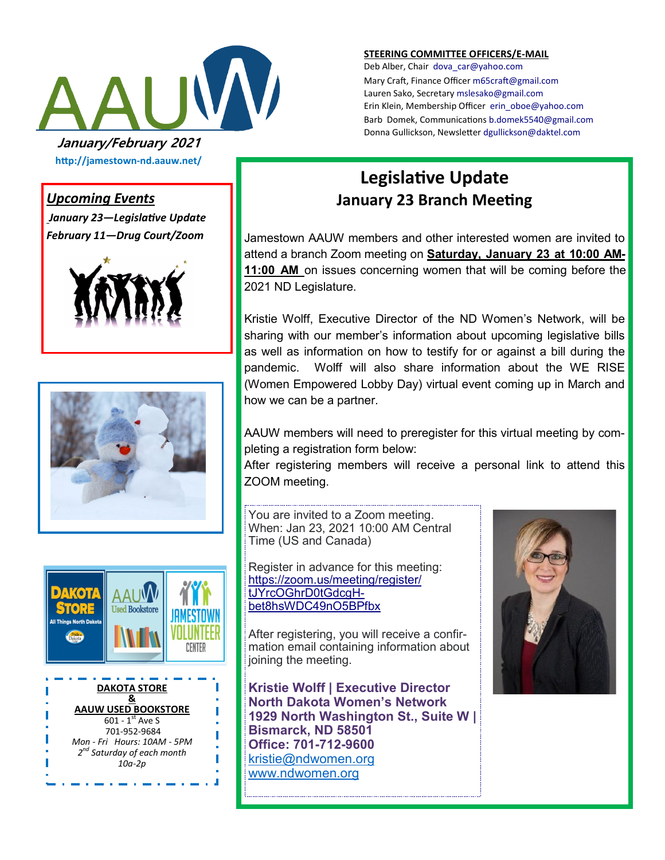

**STEERING COMMITTEE OFFICERS/E-MAIL**

Deb Alber, Chair [dova\\_car@yahoo.com](mailto:dova_car@yahoo.com) Mary Craft, Finance Officer [m65craft@gmail.com](mailto:m65craft@gmail.com) Lauren Sako, Secretary [mslesako@gmail.com](mailto:mslesako@gmail.com) Erin Klein, Membership Officer [erin\\_oboe@yahoo.com](mailto:erin_oboe@yahoo.com) Barb Domek, Communications [b.domek5540@gmail.com](mailto:b.domek5540@gmail.com) Donna Gullickson, Newsletter [dgullickson@daktel.com](mailto:dgullickson@daktel.com)

# **http://jamestown-nd.aauw.net/**

#### *Upcoming Events*

*January 23—Legislative Update February 11—Drug Court/Zoom*







701-952-9684 *Mon - Fri Hours: 10AM - 5PM 2 nd Saturday of each month 10a-2p*

I

### **Legislative Update January 23 Branch Meeting**

Jamestown AAUW members and other interested women are invited to attend a branch Zoom meeting on **Saturday, January 23 at 10:00 AM-11:00 AM** on issues concerning women that will be coming before the 2021 ND Legislature.

Kristie Wolff, Executive Director of the ND Women's Network, will be sharing with our member's information about upcoming legislative bills as well as information on how to testify for or against a bill during the pandemic. Wolff will also share information about the WE RISE (Women Empowered Lobby Day) virtual event coming up in March and how we can be a partner.

AAUW members will need to preregister for this virtual meeting by completing a registration form below:

After registering members will receive a personal link to attend this ZOOM meeting.

You are invited to a Zoom meeting. When: Jan 23, 2021 10:00 AM Central Time (US and Canada)

Register in advance for this meeting: [https://zoom.us/meeting/register/](https://zoom.us/meeting/register/tJYrcOGhrD0tGdcgHbet8hsWDC49nO5BPfbx) [tJYrcOGhrD0tGdcgH](https://zoom.us/meeting/register/tJYrcOGhrD0tGdcgHbet8hsWDC49nO5BPfbx)[bet8hsWDC49nO5BPfbx](https://zoom.us/meeting/register/tJYrcOGhrD0tGdcgHbet8hsWDC49nO5BPfbx)

After registering, you will receive a confirmation email containing information about joining the meeting.

**Kristie Wolff | Executive Director North Dakota Women's Network 1929 North Washington St., Suite W | Bismarck, ND 58501 Office: 701-712-9600** [kristie@ndwomen.org](mailto:kristie@ndwomen.org) [www.ndwomen.org](http://www.ndwomen.org/)